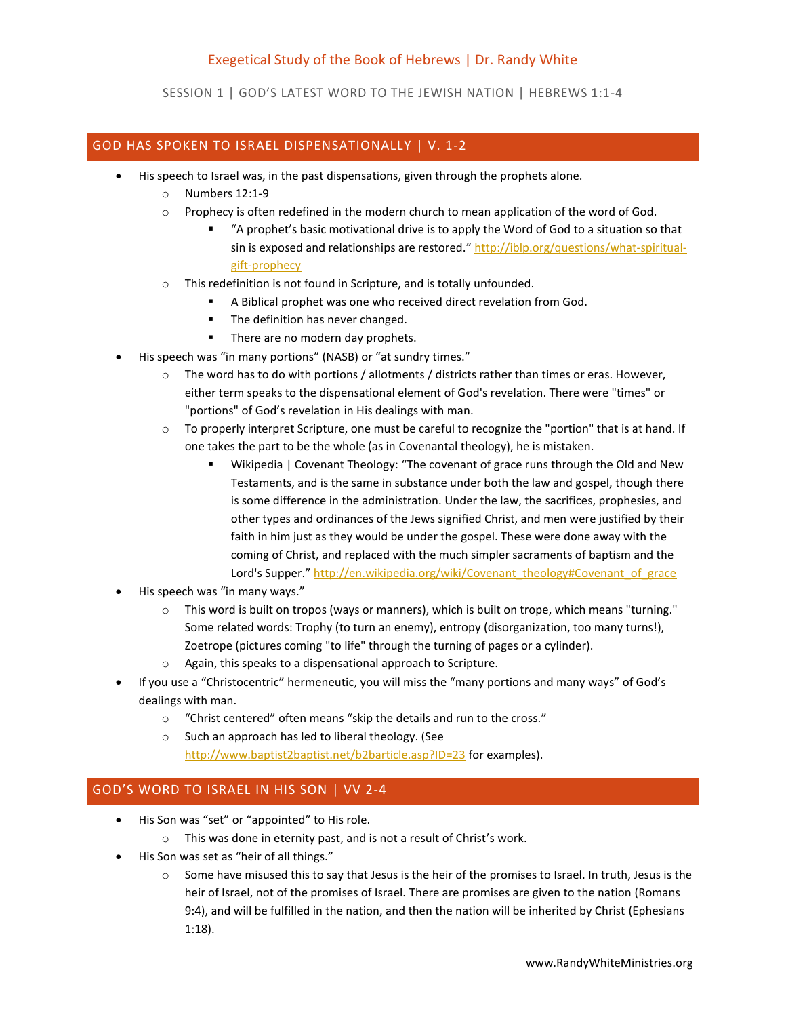## Exegetical Study of the Book of Hebrews | Dr. Randy White

SESSION 1 | GOD'S LATEST WORD TO THE JEWISH NATION | HEBREWS 1:1-4

## GOD HAS SPOKEN TO ISRAEL DISPENSATIONALLY | V. 1-2

- His speech to Israel was, in the past dispensations, given through the prophets alone.
	- o Numbers 12:1-9
	- o Prophecy is often redefined in the modern church to mean application of the word of God.
		- "A prophet's basic motivational drive is to apply the Word of God to a situation so that sin is exposed and relationships are restored." [http://iblp.org/questions/what-spiritual](http://iblp.org/questions/what-spiritual-gift-prophecy)[gift-prophecy](http://iblp.org/questions/what-spiritual-gift-prophecy)
	- o This redefinition is not found in Scripture, and is totally unfounded.
		- A Biblical prophet was one who received direct revelation from God.
		- The definition has never changed.
		- **There are no modern day prophets.**
	- His speech was "in many portions" (NASB) or "at sundry times."
		- o The word has to do with portions / allotments / districts rather than times or eras. However, either term speaks to the dispensational element of God's revelation. There were "times" or "portions" of God's revelation in His dealings with man.
		- o To properly interpret Scripture, one must be careful to recognize the "portion" that is at hand. If one takes the part to be the whole (as in Covenantal theology), he is mistaken.
			- Wikipedia | Covenant Theology: "The covenant of grace runs through the Old and New Testaments, and is the same in substance under both the law and gospel, though there is some difference in the administration. Under the law, the sacrifices, prophesies, and other types and ordinances of the Jews signified Christ, and men were justified by their faith in him just as they would be under the gospel. These were done away with the coming of Christ, and replaced with the much simpler sacraments of baptism and the Lord's Supper." [http://en.wikipedia.org/wiki/Covenant\\_theology#Covenant\\_of\\_grace](http://en.wikipedia.org/wiki/Covenant_theology#Covenant_of_grace)
- His speech was "in many ways."
	- $\circ$  This word is built on tropos (ways or manners), which is built on trope, which means "turning." Some related words: Trophy (to turn an enemy), entropy (disorganization, too many turns!), Zoetrope (pictures coming "to life" through the turning of pages or a cylinder).
	- o Again, this speaks to a dispensational approach to Scripture.
- If you use a "Christocentric" hermeneutic, you will miss the "many portions and many ways" of God's dealings with man.
	- o "Christ centered" often means "skip the details and run to the cross."
	- o Such an approach has led to liberal theology. (See <http://www.baptist2baptist.net/b2barticle.asp?ID=23> for examples).

## GOD'S WORD TO ISRAEL IN HIS SON | VV 2-4

- His Son was "set" or "appointed" to His role.
	- o This was done in eternity past, and is not a result of Christ's work.
- His Son was set as "heir of all things."
	- o Some have misused this to say that Jesus is the heir of the promises to Israel. In truth, Jesus is the heir of Israel, not of the promises of Israel. There are promises are given to the nation (Romans 9:4), and will be fulfilled in the nation, and then the nation will be inherited by Christ (Ephesians 1:18).